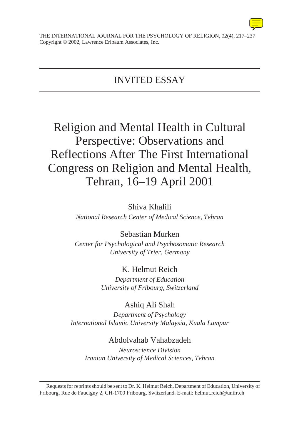THE INTERNATIONAL JOURNAL FOR THE PSYCHOLOGY OF RELIGION, *12*(4), 217–237 Copyright © 2002, Lawrence Erlbaum Associates, Inc.

# INVITED ESSAY

Religion and Mental Health in Cultural Perspective: Observations and Reflections After The First International Congress on Religion and Mental Health, Tehran, 16–19 April 2001

> Shiva Khalili *National Research Center of Medical Science, Tehran*

> Sebastian Murken *Center for Psychological and Psychosomatic Research University of Trier, Germany*

> > K. Helmut Reich

*Department of Education University of Fribourg, Switzerland*

Ashiq Ali Shah

*Department of Psychology International Islamic University Malaysia, Kuala Lumpur*

Abdolvahab Vahabzadeh *Neuroscience Division Iranian University of Medical Sciences, Tehran*

Requests for reprints should be sent to Dr. K. Helmut Reich, Department of Education, University of Fribourg, Rue de Faucigny 2, CH-1700 Fribourg, Switzerland. E-mail: helmut.reich@unifr.ch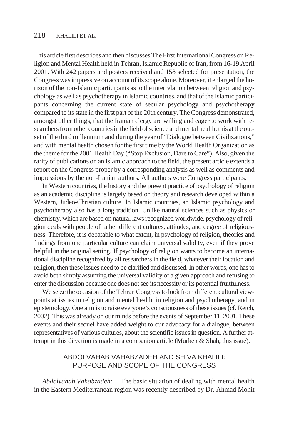This article first describes and then discusses The First International Congress on Religion and Mental Health held in Tehran, Islamic Republic of Iran, from 16-19 April 2001. With 242 papers and posters received and 158 selected for presentation, the Congress was impressive on account of its scope alone. Moreover, it enlarged the horizon of the non-Islamic participants as to the interrelation between religion and psychology as well as psychotherapy in Islamic countries, and that of the Islamic participants concerning the current state of secular psychology and psychotherapy compared to its state in the first part of the 20th century. The Congress demonstrated, amongst other things, that the Iranian clergy are willing and eager to work with researchers from other countries in the field of science and mental health; this at the outset of the third millennium and during the year of "Dialogue between Civilizations," and with mental health chosen for the first time by the World Health Organization as the theme for the 2001 Health Day ("Stop Exclusion, Dare to Care"). Also, given the rarity of publications on an Islamic approach to the field, the present article extends a report on the Congress proper by a corresponding analysis as well as comments and impressions by the non-Iranian authors. All authors were Congress participants.

In Western countries, the history and the present practice of psychology of religion as an academic discipline is largely based on theory and research developed within a Western, Judeo-Christian culture. In Islamic countries, an Islamic psychology and psychotherapy also has a long tradition. Unlike natural sciences such as physics or chemistry, which are based on natural laws recognized worldwide, psychology of religion deals with people of rather different cultures, attitudes, and degree of religiousness. Therefore, it is debatable to what extent, in psychology of religion, theories and findings from one particular culture can claim universal validity, even if they prove helpful in the original setting. If psychology of religion wants to become an international discipline recognized by all researchers in the field, whatever their location and religion, then these issues need to be clarified and discussed. In other words, one has to avoid both simply assuming the universal validity of a given approach and refusing to enter the discussion because one does not see its necessity or its potential fruitfulness.

We seize the occasion of the Tehran Congress to look from different cultural viewpoints at issues in religion and mental health, in religion and psychotherapy, and in epistemology. One aim is to raise everyone's consciousness of these issues (cf. Reich, 2002). This was already on our minds before the events of September 11, 2001. These events and their sequel have added weight to our advocacy for a dialogue, between representatives of various cultures, about the scientific issues in question. A further attempt in this direction is made in a companion article (Murken & Shah, this issue).

## ABDOLVAHAB VAHABZADEH AND SHIVA KHALILI: PURPOSE AND SCOPE OF THE CONGRESS

*Abdolvahab Vahabzadeh:* The basic situation of dealing with mental health in the Eastern Mediterranean region was recently described by Dr. Ahmad Mohit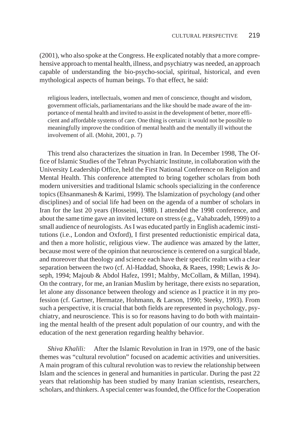(2001), who also spoke at the Congress. He explicated notably that a more comprehensive approach to mental health, illness, and psychiatry was needed, an approach capable of understanding the bio-psycho-social, spiritual, historical, and even mythological aspects of human beings. To that effect, he said:

religious leaders, intellectuals, women and men of conscience, thought and wisdom, government officials, parliamentarians and the like should be made aware of the importance of mental health and invited to assist in the development of better, more efficient and affordable systems of care. One thing is certain: it would not be possible to meaningfully improve the condition of mental health and the mentally ill without the involvement of all. (Mohit, 2001, p. 7)

This trend also characterizes the situation in Iran. In December 1998, The Office of Islamic Studies of the Tehran Psychiatric Institute, in collaboration with the University Leadership Office, held the First National Conference on Religion and Mental Health. This conference attempted to bring together scholars from both modern universities and traditional Islamic schools specializing in the conference topics (Ehsanmanesh & Karimi, 1999). The Islamization of psychology (and other disciplines) and of social life had been on the agenda of a number of scholars in Iran for the last 20 years (Hosseini, 1988). I attended the 1998 conference, and about the same time gave an invited lecture on stress (e.g., Vahabzadeh, 1999) to a small audience of neurologists. As I was educated partly in English academic institutions (i.e., London and Oxford), I first presented reductionistic empirical data, and then a more holistic, religious view. The audience was amazed by the latter, because most were of the opinion that neuroscience is centered on a surgical blade, and moreover that theology and science each have their specific realm with a clear separation between the two (cf. Al-Haddad, Shooka, & Raees, 1998; Lewis & Joseph, 1994; Majoub & Abdol Hafez, 1991; Maltby, McCollam, & Millan, 1994). On the contrary, for me, an Iranian Muslim by heritage, there exists no separation, let alone any dissonance between theology and science as I practice it in my profession (cf. Gartner, Hermatze, Hohmann, & Larson, 1990; Steeky, 1993). From such a perspective, it is crucial that both fields are represented in psychology, psychiatry, and neuroscience. This is so for reasons having to do both with maintaining the mental health of the present adult population of our country, and with the education of the next generation regarding healthy behavior.

*Shiva Khalili:* After the Islamic Revolution in Iran in 1979, one of the basic themes was "cultural revolution" focused on academic activities and universities. A main program of this cultural revolution was to review the relationship between Islam and the sciences in general and humanities in particular. During the past 22 years that relationship has been studied by many Iranian scientists, researchers, scholars, and thinkers. A special center was founded, the Office for the Cooperation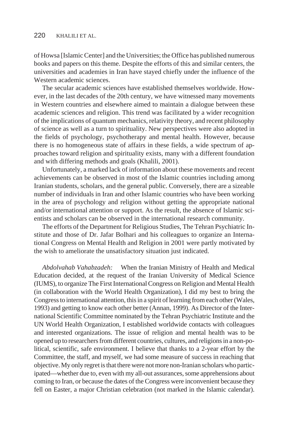of Howsa [Islamic Center] and the Universities; the Office has published numerous books and papers on this theme. Despite the efforts of this and similar centers, the universities and academies in Iran have stayed chiefly under the influence of the Western academic sciences.

The secular academic sciences have established themselves worldwide. However, in the last decades of the 20th century, we have witnessed many movements in Western countries and elsewhere aimed to maintain a dialogue between these academic sciences and religion. This trend was facilitated by a wider recognition of the implications of quantum mechanics, relativity theory, and recent philosophy of science as well as a turn to spirituality. New perspectives were also adopted in the fields of psychology, psychotherapy and mental health. However, because there is no homogeneous state of affairs in these fields, a wide spectrum of approaches toward religion and spirituality exists, many with a different foundation and with differing methods and goals (Khalili, 2001).

Unfortunately, a marked lack of information about these movements and recent achievements can be observed in most of the Islamic countries including among Iranian students, scholars, and the general public. Conversely, there are a sizeable number of individuals in Iran and other Islamic countries who have been working in the area of psychology and religion without getting the appropriate national and/or international attention or support. As the result, the absence of Islamic scientists and scholars can be observed in the international research community.

The efforts of the Department for Religious Studies, The Tehran Psychiatric Institute and those of Dr. Jafar Bolhari and his colleagues to organize an International Congress on Mental Health and Religion in 2001 were partly motivated by the wish to ameliorate the unsatisfactory situation just indicated.

*Abdolvahab Vahabzadeh:* When the Iranian Ministry of Health and Medical Education decided, at the request of the Iranian University of Medical Science (IUMS), to organize The First International Congress on Religion and Mental Health (in collaboration with the World Health Organization), I did my best to bring the Congress to international attention, this in a spirit of learning from each other (Wales, 1993) and getting to know each other better (Annan, 1999). As Director of the International Scientific Committee nominated by the Tehran Psychiatric Institute and the UN World Health Organization, I established worldwide contacts with colleagues and interested organizations. The issue of religion and mental health was to be opened up to researchers from different countries, cultures, and religions in a non-political, scientific, safe environment. I believe that thanks to a 2-year effort by the Committee, the staff, and myself, we had some measure of success in reaching that objective. My only regret is that there were not more non-Iranian scholars who participated—whether due to, even with my all-out assurances, some apprehensions about coming to Iran, or because the dates of the Congress were inconvenient because they fell on Easter, a major Christian celebration (not marked in the Islamic calendar).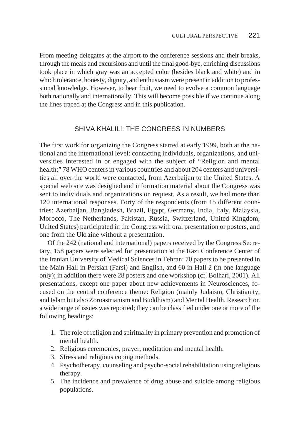From meeting delegates at the airport to the conference sessions and their breaks, through the meals and excursions and until the final good-bye, enriching discussions took place in which gray was an accepted color (besides black and white) and in which tolerance, honesty, dignity, and enthusiasm were present in addition to professional knowledge. However, to bear fruit, we need to evolve a common language both nationally and internationally. This will become possible if we continue along the lines traced at the Congress and in this publication.

## SHIVA KHALILI: THE CONGRESS IN NUMBERS

The first work for organizing the Congress started at early 1999, both at the national and the international level: contacting individuals, organizations, and universities interested in or engaged with the subject of "Religion and mental health;" 78 WHO centers in various countries and about 204 centers and universities all over the world were contacted, from Azerbaijan to the United States. A special web site was designed and information material about the Congress was sent to individuals and organizations on request. As a result, we had more than 120 international responses. Forty of the respondents (from 15 different countries: Azerbaijan, Bangladesh, Brazil, Egypt, Germany, India, Italy, Malaysia, Morocco, The Netherlands, Pakistan, Russia, Switzerland, United Kingdom, United States) participated in the Congress with oral presentation or posters, and one from the Ukraine without a presentation.

Of the 242 (national and international) papers received by the Congress Secretary, 158 papers were selected for presentation at the Razi Conference Center of the Iranian University of Medical Sciences in Tehran: 70 papers to be presented in the Main Hall in Persian (Farsi) and English, and 60 in Hall 2 (in one language only); in addition there were 28 posters and one workshop (cf. Bolhari, 2001). All presentations, except one paper about new achievements in Neurosciences, focused on the central conference theme: Religion (mainly Judaism, Christianity, and Islam but also Zoroastrianism and Buddhism) and Mental Health. Research on a wide range of issues was reported; they can be classified under one or more of the following headings:

- 1. The role of religion and spirituality in primary prevention and promotion of mental health.
- 2. Religious ceremonies, prayer, meditation and mental health.
- 3. Stress and religious coping methods.
- 4. Psychotherapy, counseling and psycho-social rehabilitation using religious therapy.
- 5. The incidence and prevalence of drug abuse and suicide among religious populations.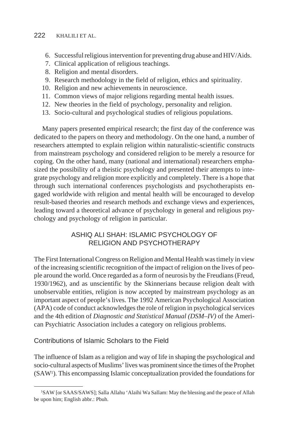## 222 KHALILLET AL.

- 6. Successful religious intervention for preventing drug abuse and HIV/Aids.
- 7. Clinical application of religious teachings.
- 8. Religion and mental disorders.
- 9. Research methodology in the field of religion, ethics and spirituality.
- 10. Religion and new achievements in neuroscience.
- 11. Common views of major religions regarding mental health issues.
- 12. New theories in the field of psychology, personality and religion.
- 13. Socio-cultural and psychological studies of religious populations.

Many papers presented empirical research; the first day of the conference was dedicated to the papers on theory and methodology. On the one hand, a number of researchers attempted to explain religion within naturalistic-scientific constructs from mainstream psychology and considered religion to be merely a resource for coping. On the other hand, many (national and international) researchers emphasized the possibility of a theistic psychology and presented their attempts to integrate psychology and religion more explicitly and completely. There is a hope that through such international conferences psychologists and psychotherapists engaged worldwide with religion and mental health will be encouraged to develop result-based theories and research methods and exchange views and experiences, leading toward a theoretical advance of psychology in general and religious psychology and psychology of religion in particular.

## ASHIQ ALI SHAH: ISLAMIC PSYCHOLOGY OF RELIGION AND PSYCHOTHERAPY

The First International Congress on Religion and Mental Health was timely in view of the increasing scientific recognition of the impact of religion on the lives of people around the world. Once regarded as a form of neurosis by the Freudians (Freud, 1930/1962), and as unscientific by the Skinnerians because religion dealt with unobservable entities, religion is now accepted by mainstream psychology as an important aspect of people's lives. The 1992 American Psychological Association (APA) code of conduct acknowledges the role of religion in psychological services and the 4th edition of *Diagnostic and Statistical Manual (DSM–IV)* of the American Psychiatric Association includes a category on religious problems.

## Contributions of Islamic Scholars to the Field

The influence of Islam as a religion and way of life in shaping the psychological and socio-cultural aspects of Muslims' lives was prominent since the times of the Prophet (SAW1). This encompassing Islamic conceptualization provided the foundations for

<sup>1</sup>SAW [or SAAS/SAWS]; Salla Allahu 'Alaihi Wa Sallam: May the blessing and the peace of Allah be upon him; English abbr.: Pbuh.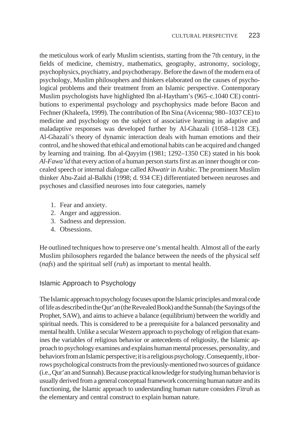the meticulous work of early Muslim scientists, starting from the 7th century, in the fields of medicine, chemistry, mathematics, geography, astronomy, sociology, psychophysics, psychiatry, and psychotherapy. Before the dawn of the modern era of psychology, Muslim philosophers and thinkers elaborated on the causes of psychological problems and their treatment from an Islamic perspective. Contemporary Muslim psychologists have highlighted Ibn al-Haytham's (965–c.1040 CE) contributions to experimental psychology and psychophysics made before Bacon and Fechner (Khaleefa, 1999). The contribution of Ibn Sina (Avicenna; 980–1037 CE) to medicine and psychology on the subject of associative learning in adaptive and maladaptive responses was developed further by Al-Ghazali (1058–1128 CE). Al-Ghazali's theory of dynamic interaction deals with human emotions and their control, and he showed that ethical and emotional habits can be acquired and changed by learning and training. Ibn al-Qayyim (1981; 1292–1350 CE) stated in his book *Al-Fawa'id* that every action of a human person starts first as an inner thought or concealed speech or internal dialogue called *Khwatir* in Arabic. The prominent Muslim thinker Abu-Zaid al-Balkhi (1998; d. 934 CE) differentiated between neuroses and psychoses and classified neuroses into four categories, namely

- 1. Fear and anxiety.
- 2. Anger and aggression.
- 3. Sadness and depression.
- 4. Obsessions.

He outlined techniques how to preserve one's mental health. Almost all of the early Muslim philosophers regarded the balance between the needs of the physical self (*nafs*) and the spiritual self (*ruh*) as important to mental health.

## Islamic Approach to Psychology

The Islamic approach to psychology focuses upon the Islamic principles and moral code oflifeasdescribedintheQur'an(theRevealedBook)andtheSunnah(theSayingsofthe Prophet, SAW), and aims to achieve a balance (equilibrium) between the worldly and spiritual needs. This is considered to be a prerequisite for a balanced personality and mental health. Unlike a secular Western approach to psychology of religion that examines the variables of religious behavior or antecedents of religiosity, the Islamic approach to psychology examines and explains human mental processes, personality, and behaviors from an Islamic perspective; it is a religious psychology. Consequently, it borrows psychological constructs from the previously-mentioned two sources of guidance (i.e., Qur'an and Sunnah). Because practical knowledge for studying human behavior is usually derived from a general conceptual framework concerning human nature and its functioning, the Islamic approach to understanding human nature considers *Fitrah* as the elementary and central construct to explain human nature.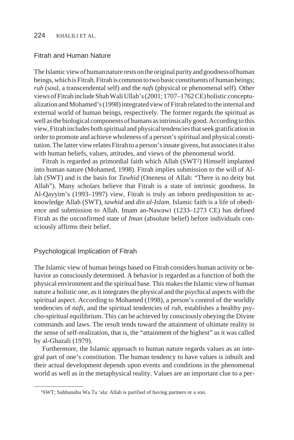## 224 KHALILLET AL.

## Fitrah and Human Nature

The Islamic view of human nature rests on the original purity and goodness of human beings, which is Fitrah. Fitrah is common to two basic constituents of human beings; *ruh* (soul, a transcendental self) and the *nafs* (physical or phenomenal self). Other views of Fitrah include Shah Wali Ullah's (2001; 1707–1762 CE) holistic conceptualization and Mohamed's (1998) integrated view of Fitrah related to the internal and external world of human beings, respectively. The former regards the spiritual as well as the biological components of humans as intrinsically good. According to this view, Fitrah includes both spiritual and physical tendencies that seek gratification in order to promote and achieve wholeness of a person's spiritual and physical constitution. The latter view relates Fitrah to a person's innate givens, but associates it also with human beliefs, values, attitudes, and views of the phenomenal world.

Fitrah is regarded as primordial faith which Allah (SWT2) Himself implanted into human nature (Mohamed, 1998). Fitrah implies submission to the will of Allah (SWT) and is the basis for *Tawhid* (Oneness of Allah: "There is no deity but Allah"). Many scholars believe that Fitrah is a state of intrinsic goodness. In Al-Qayyim's (1993–1997) view, Fitrah is truly an inborn predisposition to acknowledge Allah (SWT), *tawhid* and *din al-Islam*. Islamic faith is a life of obedience and submission to Allah. Imam an-Nawawi (1233–1273 CE) has defined Fitrah as the unconfirmed state of *Iman* (absolute belief) before individuals consciously affirms their belief.

#### Psychological Implication of Fitrah

The Islamic view of human beings based on Fitrah considers human activity or behavior as consciously determined. A behavior is regarded as a function of both the physical environment and the spiritual base. This makes the Islamic view of human nature a holistic one, as it integrates the physical and the psychical aspects with the spiritual aspect. According to Mohamed (1998), a person's control of the worldly tendencies of *nafs*, and the spiritual tendencies of *ruh*, establishes a healthy psycho-spiritual equilibrium. This can be achieved by consciously obeying the Divine commands and laws. The result tends toward the attainment of ultimate reality in the sense of self-realization, that is, the "attainment of the highest" as it was called by al-Ghazali (1979).

Furthermore, the Islamic approach to human nature regards values as an integral part of one's constitution. The human tendency to have values is inbuilt and their actual development depends upon events and conditions in the phenomenal world as well as in the metaphysical reality. Values are an important clue to a per-

<sup>2</sup>SWT; Subhanahu Wa Ta 'ala: Allah is purified of having partners or a son.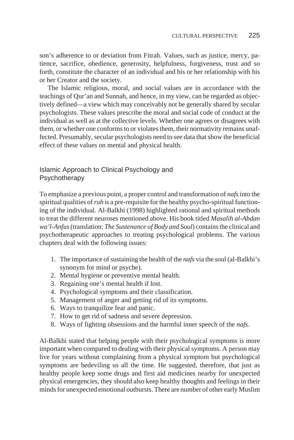son's adherence to or deviation from Fitrah. Values, such as justice, mercy, patience, sacrifice, obedience, generosity, helpfulness, forgiveness, trust and so forth, constitute the character of an individual and his or her relationship with his or her Creator and the society.

The Islamic religious, moral, and social values are in accordance with the teachings of Qur'an and Sunnah, and hence, in my view, can be regarded as objectively defined—a view which may conceivably not be generally shared by secular psychologists. These values prescribe the moral and social code of conduct at the individual as well as at the collective levels. Whether one agrees or disagrees with them, or whether one conforms to or violates them, their normativity remains unaffected. Presumably, secular psychologists need to see data that show the beneficial effect of these values on mental and physical health.

Islamic Approach to Clinical Psychology and Psychotherapy

To emphasize a previous point, a proper control and transformation of *nafs*into the spiritual qualities of*ruh* is a pre-requisite for the healthy psycho-spiritual functioning of the individual. Al-Balkhi (1998) highlighted rational and spiritual methods to treat the different neuroses mentioned above. His book titled *Masalih al-Abdan wa'l-Anfus*(translation: *The Sustenance of Body and Soul*) contains the clinical and psychotherapeutic approaches to treating psychological problems. The various chapters deal with the following issues:

- 1. The importance of sustaining the health of the *nafs* via the soul (al-Balkhi's synonym for mind or psyche).
- 2. Mental hygiene or preventive mental health.
- 3. Regaining one's mental health if lost.
- 4. Psychological symptoms and their classification.
- 5. Management of anger and getting rid of its symptoms.
- 6. Ways to tranquilize fear and panic.
- 7. How to get rid of sadness and severe depression.
- 8. Ways of fighting obsessions and the harmful inner speech of the *nafs*.

Al-Balkhi stated that helping people with their psychological symptoms is more important when compared to dealing with their physical symptoms. A person may live for years without complaining from a physical symptom but psychological symptoms are bedeviling us all the time. He suggested, therefore, that just as healthy people keep some drugs and first aid medicines nearby for unexpected physical emergencies, they should also keep healthy thoughts and feelings in their minds for unexpected emotional outbursts. There are number of other early Muslim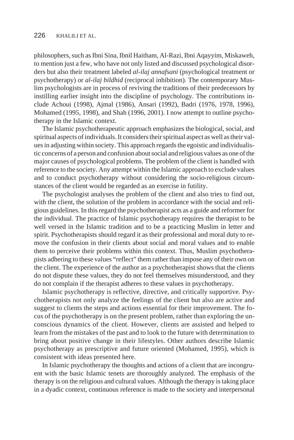philosophers, such as Ibni Sina, Ibnil Haitham, Al-Razi, Ibni Aqayyim, Miskaweh, to mention just a few, who have not only listed and discussed psychological disorders but also their treatment labeled *al-ilaj annafsani* (psychological treatment or psychotherapy) or *al-ilaj bildhid* (reciprocal inhibition). The contemporary Muslim psychologists are in process of reviving the traditions of their predecessors by instilling earlier insight into the discipline of psychology. The contributions include Achoui (1998), Ajmal (1986), Ansari (1992), Badri (1976, 1978, 1996), Mohamed (1995, 1998), and Shah (1996, 2001). I now attempt to outline psychotherapy in the Islamic context.

The Islamic psychotherapeutic approach emphasizes the biological, social, and spiritual aspects of individuals. It considers their spiritual aspect as well as their values in adjusting within society. This approach regards the egoistic and individualistic concerns of a person and confusion about social and religious values as one of the major causes of psychological problems. The problem of the client is handled with reference to the society. Any attempt within the Islamic approach to exclude values and to conduct psychotherapy without considering the socio-religious circumstances of the client would be regarded as an exercise in futility.

The psychologist analyses the problem of the client and also tries to find out, with the client, the solution of the problem in accordance with the social and religious guidelines. In this regard the psychotherapist acts as a guide and reformer for the individual. The practice of Islamic psychotherapy requires the therapist to be well versed in the Islamic tradition and to be a practicing Muslim in letter and spirit. Psychotherapists should regard it as their professional and moral duty to remove the confusion in their clients about social and moral values and to enable them to perceive their problems within this context. Thus, Muslim psychotherapists adhering to these values "reflect" them rather than impose any of their own on the client. The experience of the author as a psychotherapist shows that the clients do not dispute these values, they do not feel themselves misunderstood, and they do not complain if the therapist adheres to these values in psychotherapy.

Islamic psychotherapy is reflective, directive, and critically supportive. Psychotherapists not only analyze the feelings of the client but also are active and suggest to clients the steps and actions essential for their improvement. The focus of the psychotherapy is on the present problem, rather than exploring the unconscious dynamics of the client. However, clients are assisted and helped to learn from the mistakes of the past and to look to the future with determination to bring about positive change in their lifestyles. Other authors describe Islamic psychotherapy as prescriptive and future oriented (Mohamed, 1995), which is consistent with ideas presented here.

In Islamic psychotherapy the thoughts and actions of a client that are incongruent with the basic Islamic tenets are thoroughly analyzed. The emphasis of the therapy is on the religious and cultural values. Although the therapy is taking place in a dyadic context, continuous reference is made to the society and interpersonal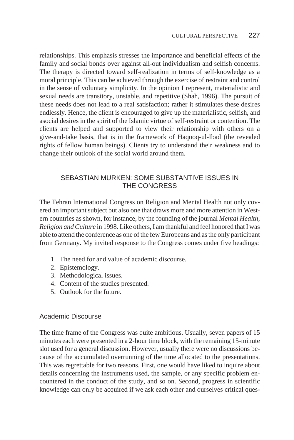relationships. This emphasis stresses the importance and beneficial effects of the family and social bonds over against all-out individualism and selfish concerns. The therapy is directed toward self-realization in terms of self-knowledge as a moral principle. This can be achieved through the exercise of restraint and control in the sense of voluntary simplicity. In the opinion I represent, materialistic and sexual needs are transitory, unstable, and repetitive (Shah, 1996). The pursuit of these needs does not lead to a real satisfaction; rather it stimulates these desires endlessly. Hence, the client is encouraged to give up the materialistic, selfish, and asocial desires in the spirit of the Islamic virtue of self-restraint or contention. The clients are helped and supported to view their relationship with others on a give-and-take basis, that is in the framework of Haqooq-ul-Ibad (the revealed rights of fellow human beings). Clients try to understand their weakness and to change their outlook of the social world around them.

## SEBASTIAN MURKEN: SOME SUBSTANTIVE ISSUES IN THE CONGRESS

The Tehran International Congress on Religion and Mental Health not only covered an important subject but also one that draws more and more attention in Western countries as shown, for instance, by the founding of the journal *Mental Health, Religion and Culture* in 1998. Like others, I am thankful and feel honored that I was able to attend the conference as one of the few Europeans and as the only participant from Germany. My invited response to the Congress comes under five headings:

- 1. The need for and value of academic discourse.
- 2. Epistemology.
- 3. Methodological issues.
- 4. Content of the studies presented.
- 5. Outlook for the future.

## Academic Discourse

The time frame of the Congress was quite ambitious. Usually, seven papers of 15 minutes each were presented in a 2-hour time block, with the remaining 15-minute slot used for a general discussion. However, usually there were no discussions because of the accumulated overrunning of the time allocated to the presentations. This was regrettable for two reasons. First, one would have liked to inquire about details concerning the instruments used, the sample, or any specific problem encountered in the conduct of the study, and so on. Second, progress in scientific knowledge can only be acquired if we ask each other and ourselves critical ques-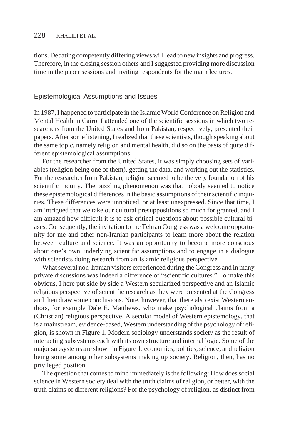## 228 KHALILI ET AL.

tions. Debating competently differing views will lead to new insights and progress. Therefore, in the closing session others and I suggested providing more discussion time in the paper sessions and inviting respondents for the main lectures.

#### Epistemological Assumptions and Issues

In 1987, I happened to participate in the Islamic World Conference on Religion and Mental Health in Cairo. I attended one of the scientific sessions in which two researchers from the United States and from Pakistan, respectively, presented their papers. After some listening, I realized that these scientists, though speaking about the same topic, namely religion and mental health, did so on the basis of quite different epistemological assumptions.

For the researcher from the United States, it was simply choosing sets of variables (religion being one of them), getting the data, and working out the statistics. For the researcher from Pakistan, religion seemed to be the very foundation of his scientific inquiry. The puzzling phenomenon was that nobody seemed to notice these epistemological differences in the basic assumptions of their scientific inquiries. These differences were unnoticed, or at least unexpressed. Since that time, I am intrigued that we take our cultural presuppositions so much for granted, and I am amazed how difficult it is to ask critical questions about possible cultural biases. Consequently, the invitation to the Tehran Congress was a welcome opportunity for me and other non-Iranian participants to learn more about the relation between culture and science. It was an opportunity to become more conscious about one's own underlying scientific assumptions and to engage in a dialogue with scientists doing research from an Islamic religious perspective.

What several non-Iranian visitors experienced during the Congress and in many private discussions was indeed a difference of "scientific cultures." To make this obvious, I here put side by side a Western secularized perspective and an Islamic religious perspective of scientific research as they were presented at the Congress and then draw some conclusions. Note, however, that there also exist Western authors, for example Dale E. Matthews, who make psychological claims from a (Christian) religious perspective. A secular model of Western epistemology, that is a mainstream, evidence-based, Western understanding of the psychology of religion, is shown in Figure 1. Modern sociology understands society as the result of interacting subsystems each with its own structure and internal logic. Some of the major subsystems are shown in Figure 1: economics, politics, science, and religion being some among other subsystems making up society. Religion, then, has no privileged position.

The question that comes to mind immediately is the following: How does social science in Western society deal with the truth claims of religion, or better, with the truth claims of different religions? For the psychology of religion, as distinct from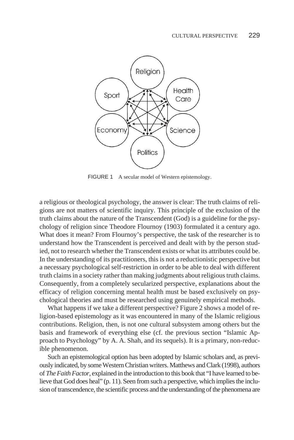

FIGURE 1 A secular model of Western epistemology.

a religious or theological psychology, the answer is clear: The truth claims of religions are not matters of scientific inquiry. This principle of the exclusion of the truth claims about the nature of the Transcendent (God) is a guideline for the psychology of religion since Theodore Flournoy (1903) formulated it a century ago. What does it mean? From Flournoy's perspective, the task of the researcher is to understand how the Transcendent is perceived and dealt with by the person studied, not to research whether the Transcendent exists or what its attributes could be. In the understanding of its practitioners, this is not a reductionistic perspective but a necessary psychological self-restriction in order to be able to deal with different truth claims in a society rather than making judgments about religious truth claims. Consequently, from a completely secularized perspective, explanations about the efficacy of religion concerning mental health must be based exclusively on psychological theories and must be researched using genuinely empirical methods.

What happens if we take a different perspective? Figure 2 shows a model of religion-based epistemology as it was encountered in many of the Islamic religious contributions. Religion, then, is not one cultural subsystem among others but the basis and framework of everything else (cf. the previous section "Islamic Approach to Psychology" by A. A. Shah, and its sequels). It is a primary, non-reducible phenomenon.

Such an epistemological option has been adopted by Islamic scholars and, as previously indicated, by some Western Christian writers. Matthews and Clark (1998), authors of *The Faith Factor,* explained in the introduction to this book that "I have learned to believe that God does heal" (p. 11). Seen from such a perspective, which implies the inclusion of transcendence, the scientific process and the understanding of the phenomena are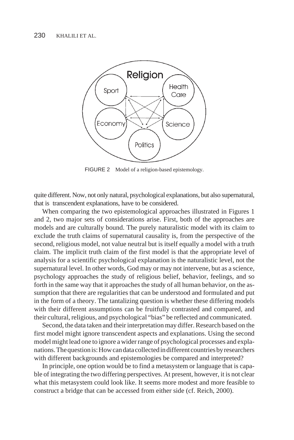

FIGURE 2 Model of a religion-based epistemology.

quite different. Now, not only natural, psychological explanations, but also supernatural, that is transcendent explanations, have to be considered.

When comparing the two epistemological approaches illustrated in Figures 1 and 2, two major sets of considerations arise. First, both of the approaches are models and are culturally bound. The purely naturalistic model with its claim to exclude the truth claims of supernatural causality is, from the perspective of the second, religious model, not value neutral but is itself equally a model with a truth claim. The implicit truth claim of the first model is that the appropriate level of analysis for a scientific psychological explanation is the naturalistic level, not the supernatural level. In other words, God may or may not intervene, but as a science, psychology approaches the study of religious belief, behavior, feelings, and so forth in the same way that it approaches the study of all human behavior, on the assumption that there are regularities that can be understood and formulated and put in the form of a theory. The tantalizing question is whether these differing models with their different assumptions can be fruitfully contrasted and compared, and their cultural, religious, and psychological "bias" be reflected and communicated.

Second, the data taken and their interpretation may differ. Research based on the first model might ignore transcendent aspects and explanations. Using the second model might lead one to ignore a wider range of psychological processes and explanations. The question is: How can data collected in different countries by researchers with different backgrounds and epistemologies be compared and interpreted?

In principle, one option would be to find a metasystem or language that is capable of integrating the two differing perspectives. At present, however, it is not clear what this metasystem could look like. It seems more modest and more feasible to construct a bridge that can be accessed from either side (cf. Reich, 2000).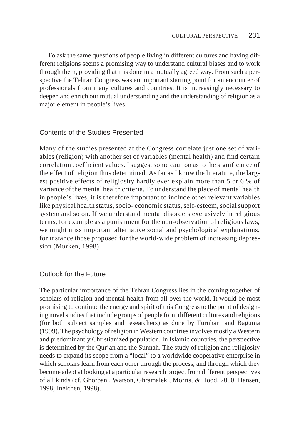To ask the same questions of people living in different cultures and having different religions seems a promising way to understand cultural biases and to work through them, providing that it is done in a mutually agreed way. From such a perspective the Tehran Congress was an important starting point for an encounter of professionals from many cultures and countries. It is increasingly necessary to deepen and enrich our mutual understanding and the understanding of religion as a major element in people's lives.

## Contents of the Studies Presented

Many of the studies presented at the Congress correlate just one set of variables (religion) with another set of variables (mental health) and find certain correlation coefficient values. I suggest some caution as to the significance of the effect of religion thus determined. As far as I know the literature, the largest positive effects of religiosity hardly ever explain more than 5 or 6 % of variance of the mental health criteria. To understand the place of mental health in people's lives, it is therefore important to include other relevant variables like physical health status, socio- economic status, self-esteem, social support system and so on. If we understand mental disorders exclusively in religious terms, for example as a punishment for the non-observation of religious laws, we might miss important alternative social and psychological explanations, for instance those proposed for the world-wide problem of increasing depression (Murken, 1998).

#### Outlook for the Future

The particular importance of the Tehran Congress lies in the coming together of scholars of religion and mental health from all over the world. It would be most promising to continue the energy and spirit of this Congress to the point of designing novel studies that include groups of people from different cultures and religions (for both subject samples and researchers) as done by Furnham and Baguma (1999). The psychology of religion in Western countries involves mostly a Western and predominantly Christianized population. In Islamic countries, the perspective is determined by the Qur'an and the Sunnah. The study of religion and religiosity needs to expand its scope from a "local" to a worldwide cooperative enterprise in which scholars learn from each other through the process, and through which they become adept at looking at a particular research project from different perspectives of all kinds (cf. Ghorbani, Watson, Ghramaleki, Morris, & Hood, 2000; Hansen, 1998; Ineichen, 1998).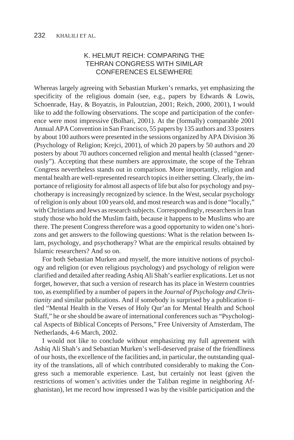## K. HELMUT REICH: COMPARING THE TEHRAN CONGRESS WITH SIMILAR CONFERENCES ELSEWHERE

Whereas largely agreeing with Sebastian Murken's remarks, yet emphasizing the specificity of the religious domain (see, e.g., papers by Edwards & Lowis, Schoenrade, Hay, & Boyatzis, in Paloutzian, 2001; Reich, 2000, 2001), I would like to add the following observations. The scope and participation of the conference were most impressive (Bolhari, 2001). At the (formally) comparable 2001 Annual APA Convention in San Francisco, 55 papers by 135 authors and 33 posters by about 100 authors were presented in the sessions organized by APA Division 36 (Psychology of Religion; Krejci, 2001), of which 20 papers by 50 authors and 20 posters by about 70 authors concerned religion and mental health (classed "generously"). Accepting that these numbers are approximate, the scope of the Tehran Congress nevertheless stands out in comparison. More importantly, religion and mental health are well-represented research topics in either setting. Clearly, the importance of religiosity for almost all aspects of life but also for psychology and psychotherapy is increasingly recognized by science. In the West, secular psychology of religion is only about 100 years old, and most research was and is done "locally," with Christians and Jews as research subjects. Correspondingly, researchers in Iran study those who hold the Muslim faith, because it happens to be Muslims who are there. The present Congress therefore was a good opportunity to widen one's horizons and get answers to the following questions: What is the relation between Islam, psychology, and psychotherapy? What are the empirical results obtained by Islamic researchers? And so on.

For both Sebastian Murken and myself, the more intuitive notions of psychology and religion (or even religious psychology) and psychology of religion were clarified and detailed after reading Ashiq Ali Shah's earlier explications. Let us not forget, however, that such a version of research has its place in Western countries too, as exemplified by a number of papers in the *Journal of Psychology and Christianity* and similar publications. And if somebody is surprised by a publication titled "Mental Health in the Verses of Holy Qur'an for Mental Health and School Staff," he or she should be aware of international conferences such as "Psychological Aspects of Biblical Concepts of Persons," Free University of Amsterdam, The Netherlands, 4-6 March, 2002.

I would not like to conclude without emphasizing my full agreement with Ashiq Ali Shah's and Sebastian Murken's well-deserved praise of the friendliness of our hosts, the excellence of the facilities and, in particular, the outstanding quality of the translations, all of which contributed considerably to making the Congress such a memorable experience. Last, but certainly not least (given the restrictions of women's activities under the Taliban regime in neighboring Afghanistan), let me record how impressed I was by the visible participation and the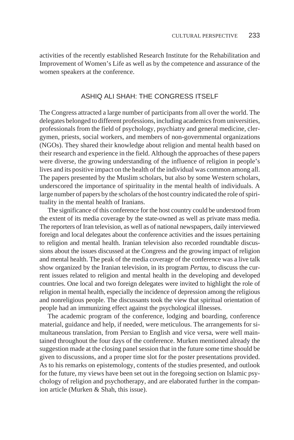activities of the recently established Research Institute for the Rehabilitation and Improvement of Women's Life as well as by the competence and assurance of the women speakers at the conference.

## ASHIQ ALI SHAH: THE CONGRESS ITSELF

The Congress attracted a large number of participants from all over the world. The delegates belonged to different professions, including academics from universities, professionals from the field of psychology, psychiatry and general medicine, clergymen, priests, social workers, and members of non-governmental organizations (NGOs). They shared their knowledge about religion and mental health based on their research and experience in the field. Although the approaches of these papers were diverse, the growing understanding of the influence of religion in people's lives and its positive impact on the health of the individual was common among all. The papers presented by the Muslim scholars, but also by some Western scholars, underscored the importance of spirituality in the mental health of individuals. A large number of papers by the scholars of the host country indicated the role of spirituality in the mental health of Iranians.

The significance of this conference for the host country could be understood from the extent of its media coverage by the state-owned as well as private mass media. The reporters of Iran television, as well as of national newspapers, daily interviewed foreign and local delegates about the conference activities and the issues pertaining to religion and mental health. Iranian television also recorded roundtable discussions about the issues discussed at the Congress and the growing impact of religion and mental health. The peak of the media coverage of the conference was a live talk show organized by the Iranian television, in its program *Pertau*, to discuss the current issues related to religion and mental health in the developing and developed countries. One local and two foreign delegates were invited to highlight the role of religion in mental health, especially the incidence of depression among the religious and nonreligious people. The discussants took the view that spiritual orientation of people had an immunizing effect against the psychological illnesses.

The academic program of the conference, lodging and boarding, conference material, guidance and help, if needed, were meticulous. The arrangements for simultaneous translation, from Persian to English and vice versa, were well maintained throughout the four days of the conference. Murken mentioned already the suggestion made at the closing panel session that in the future some time should be given to discussions, and a proper time slot for the poster presentations provided. As to his remarks on epistemology, contents of the studies presented, and outlook for the future, my views have been set out in the foregoing section on Islamic psychology of religion and psychotherapy, and are elaborated further in the companion article (Murken & Shah, this issue).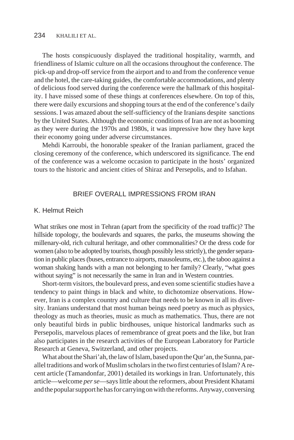### 234 KHALILI ET AL.

The hosts conspicuously displayed the traditional hospitality, warmth, and friendliness of Islamic culture on all the occasions throughout the conference. The pick-up and drop-off service from the airport and to and from the conference venue and the hotel, the care-taking guides, the comfortable accommodations, and plenty of delicious food served during the conference were the hallmark of this hospitality. I have missed some of these things at conferences elsewhere. On top of this, there were daily excursions and shopping tours at the end of the conference's daily sessions. I was amazed about the self-sufficiency of the Iranians despite sanctions by the United States. Although the economic conditions of Iran are not as booming as they were during the 1970s and 1980s, it was impressive how they have kept their economy going under adverse circumstances.

Mehdi Karroubi, the honorable speaker of the Iranian parliament, graced the closing ceremony of the conference, which underscored its significance. The end of the conference was a welcome occasion to participate in the hosts' organized tours to the historic and ancient cities of Shiraz and Persepolis, and to Isfahan.

## BRIEF OVERALL IMPRESSIONS FROM IRAN

#### K. Helmut Reich

What strikes one most in Tehran (apart from the specificity of the road traffic)? The hillside topology, the boulevards and squares, the parks, the museums showing the millenary-old, rich cultural heritage, and other commonalities? Or the dress code for women (also to be adopted by tourists, though possibly less strictly), the gender separation in public places (buses, entrance to airports, mausoleums, etc.), the taboo against a woman shaking hands with a man not belonging to her family? Clearly, "what goes without saying" is not necessarily the same in Iran and in Western countries.

Short-term visitors, the boulevard press, and even some scientific studies have a tendency to paint things in black and white, to dichotomize observations. However, Iran is a complex country and culture that needs to be known in all its diversity. Iranians understand that most human beings need poetry as much as physics, theology as much as theories, music as much as mathematics. Thus, there are not only beautiful birds in public birdhouses, unique historical landmarks such as Persepolis, marvelous places of remembrance of great poets and the like, but Iran also participates in the research activities of the European Laboratory for Particle Research at Geneva, Switzerland, and other projects.

What about the Shari'ah, the law of Islam, based upon the Qur'an, the Sunna, parallel traditions and work of Muslim scholars in the two first centuries of Islam? A recent article (Tamandonfar, 2001) detailed its workings in Iran. Unfortunately, this article—welcome *per se*—says little about the reformers, about President Khatami and the popular support he has for carrying on with the reforms. Anyway, conversing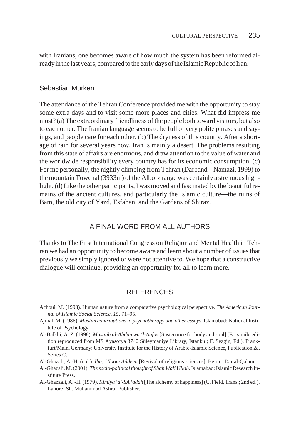with Iranians, one becomes aware of how much the system has been reformed already in the last years, compared to the early days of the Islamic Republic of Iran.

### Sebastian Murken

The attendance of the Tehran Conference provided me with the opportunity to stay some extra days and to visit some more places and cities. What did impress me most? (a) The extraordinary friendliness of the people both toward visitors, but also to each other. The Iranian language seems to be full of very polite phrases and sayings, and people care for each other. (b) The dryness of this country. After a shortage of rain for several years now, Iran is mainly a desert. The problems resulting from this state of affairs are enormous, and draw attention to the value of water and the worldwide responsibility every country has for its economic consumption. (c) For me personally, the nightly climbing from Tehran (Darband – Namazi, 1999) to the mountain Towchal (3933m) of the Alborz range was certainly a strenuous highlight. (d) Like the other participants, I was moved and fascinated by the beautiful remains of the ancient cultures, and particularly the Islamic culture—the ruins of Bam, the old city of Yazd, Esfahan, and the Gardens of Shiraz.

## A FINAL WORD FROM ALL AUTHORS

Thanks to The First International Congress on Religion and Mental Health in Tehran we had an opportunity to become aware and learn about a number of issues that previously we simply ignored or were not attentive to. We hope that a constructive dialogue will continue, providing an opportunity for all to learn more.

## **REFERENCES**

- Achoui, M. (1998). Human nature from a comparative psychological perspective. *The American Journal of Islamic Social Science*, *15,* 71–95.
- Ajmal, M. (1986). *Muslim contributions to psychotherapy and other essays*. Islamabad: National Institute of Psychology.
- Al-Balkhi, A. Z. (1998). *Masalih al-Abdan wa 'l-Anfus* [Sustenance for body and soul] (Facsimile edition reproduced from MS Ayasofya 3740 Süleymaniye Library, Istanbul; F. Sezgin, Ed.). Frankfurt/Main, Germany: University Institute for the History of Arabic-Islamic Science, Publication 2a, Series C.
- Al-Ghazali, A.-H. (n.d.). *Iha' Uloom Addeen* [Revival of religious sciences]*.* Beirut: Dar al-Qalam.
- Al-Ghazali, M. (2001). *The socio-political thought of Shah Wali Ullah.*Islamabad: Islamic Research Institute Press.
- Al-Ghazzali, A. -H. (1979).*Kimiya 'al-SA 'adah* [The alchemy of happiness] (C. Field, Trans.; 2nd ed.). Lahore: Sh. Muhammad Ashraf Publisher.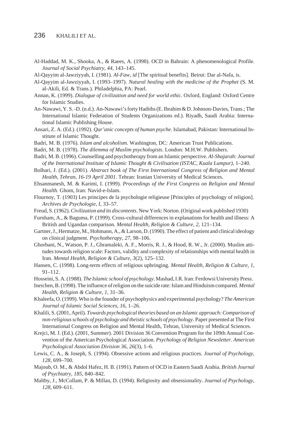- Al-Haddad, M. K., Shooka, A., & Raees, A. (1998). OCD in Bahrain: A phenomenological Profile. *Journal of Social Psychiatry, 44,* 143–145.
- Al-Qayyim al-Jawziyyah, I. (1981). *Al-Faw, id* [The spiritual benefits]. Beirut: Dar al-Nafa, is.
- Al-Qayyim al-Jawziyyah, I. (1993–1997). *Natural healing with the medicine of the Prophet* (S. M. al-Akili, Ed. & Trans.). Philadelphia, PA: Pearl.
- Annan, K. (1999). *Dialogue of civilization and need for world ethic.* Oxford, England: Oxford Centre for Islamic Studies.
- An-Nawawi, Y. S. -D. (n.d.). An-Nawawi's forty Hadiths (E. Ibrahim & D. Johnson-Davies, Trans.; The International Islamic Federation of Students Organizations ed.). Riyadh, Saudi Arabia: International Islamic Publishing House.
- Ansari, Z. A. (Ed.). (1992). *Qur'anic concepts of human psyche.* Islamabad, Pakistan: International Institute of Islamic Thought.
- Badri, M. B. (1976). *Islam and alcoholism.* Washington, DC: American Trust Publications.
- Badri, M. B. (1978). *The dilemma of Muslim psychologists*. London: M.H.W. Publishers.
- Badri, M. B. (1996). Counselling and psychotherapy from an Islamic perspective. *Al-Shajarah: Journal of the International Institute of Islamic Thought & Civilisation (ISTAC, Kuala Lumpur),* 1–240.
- Bolhari, J. (Ed.). (2001). *Abstract book of The First International Congress of Religion and Mental Health, Tehran, 16-19 April 2001*. Tehran: Iranian University of Medical Sciences.
- Ehsanmanesh, M. & Karimi, I. (1999). *Proceedings of the First Congress on Religion and Mental Health.* Ghom, Iran: Navid-e-Islam.
- Flournoy, T. (1903) Les principes de la psychologie religieuse [Principles of psychology of religion]. *Archives de Psychologie, I,* 33–57.
- Freud, S. (1962).*Civilization and its discontents*. New York: Norton. (Original work published 1930)
- Furnham, A., & Baguma, P. (1999). Cross-cultural differences in explanations for health and illness: A British and Ugandan comparison. *Mental Health, Religion & Culture, 2,* 121–134.
- Gartner, J., Hermatze, M., Hohmann, A., & Larson, D. (1990). The effect of patient and clinical ideology on clinical judgment. *Psychotherapy, 27,* 98–106.
- Ghorbani, N., Watson, P. J., Ghramaleki, A. F., Morris, R. J., & Hood, R. W., Jr. (2000). Muslim attitudes towards religion scale: Factors, validity and complexity of relationships with mental health in Iran. *Mental Health, Religion & Culture, 3*(2), 125–132.
- Hansen, C. (1998). Long-term effects of religious upbringing. *Mental Health, Religion & Culture, 1,* 91–112.
- Hosseini, S. A. (1988). *The Islamic school of psychology*. Mashad, I.R. Iran: Ferdowsi University Press.
- Ineichen, B. (1998). The influence of religion on the suicide rate: Islam and Hinduism compared. *Mental Health, Religion & Culture, 1,* 31–36.
- Khaleefa, O. (1999). Who is the founder of psychophysics and experimental psychology? *The American Journal of Islamic Social Sciences, 16,* 1–26.
- Khalili, S. (2001, April). *Towards psychological theories based on an Islamic approach: Comparison of non-religious schools of psychology and theistic schools of psychology.* Paper presented at The First International Congress on Religion and Mental Health, Tehran, University of Medical Sciences.
- Krejci, M. J. (Ed.). (2001, Summer). 2001 Division 36 Convention Program for the 109th Annual Convention of the American Psychological Association. *Psychology of Religion Newsletter. American Psychological Association Division 36, 26*(3), 1–6.
- Lewis, C. A., & Joseph, S. (1994). Obsessive actions and religious practices. *Journal of Psychology, 128,* 699–700.
- Majoub, O. M., & Abdol Hafez, H. B. (1991). Pattern of OCD in Eastern Saudi Arabia. *British Journal of Psychiatry, 185,* 840–842.
- Maltby, J., McCollam, P. & Millan, D. (1994). Religiosity and obsessionality. *Journal of Psychology, 128,* 609–611.